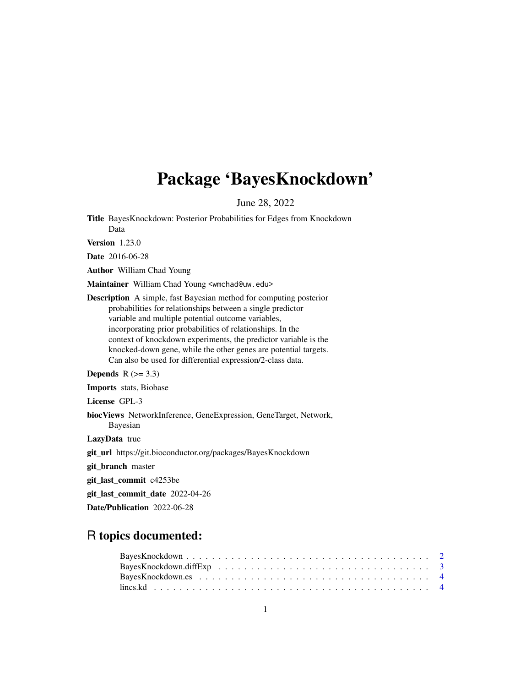# Package 'BayesKnockdown'

June 28, 2022

Title BayesKnockdown: Posterior Probabilities for Edges from Knockdown Data

Version 1.23.0

Date 2016-06-28

Author William Chad Young

Maintainer William Chad Young <wmchad@uw.edu>

Description A simple, fast Bayesian method for computing posterior probabilities for relationships between a single predictor variable and multiple potential outcome variables, incorporating prior probabilities of relationships. In the context of knockdown experiments, the predictor variable is the knocked-down gene, while the other genes are potential targets. Can also be used for differential expression/2-class data.

Depends  $R$  ( $>= 3.3$ )

Imports stats, Biobase

License GPL-3

biocViews NetworkInference, GeneExpression, GeneTarget, Network, Bayesian

LazyData true

git\_url https://git.bioconductor.org/packages/BayesKnockdown

git\_branch master

git\_last\_commit c4253be

git\_last\_commit\_date 2022-04-26

Date/Publication 2022-06-28

# R topics documented: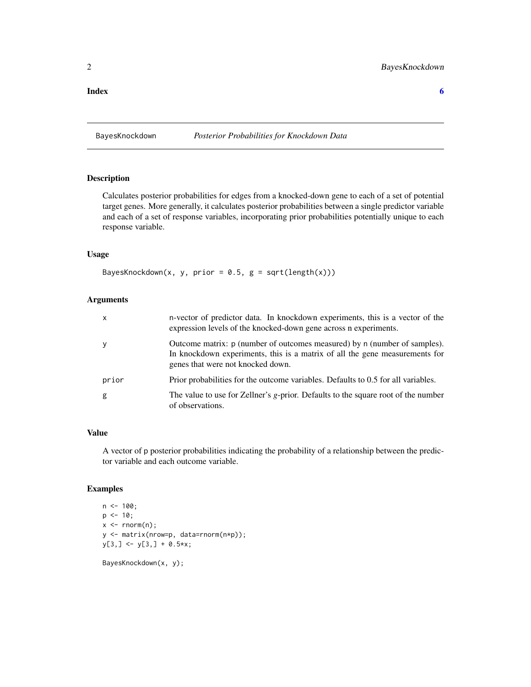<span id="page-1-0"></span>**Index** [6](#page-5-0) **6** 

BayesKnockdown *Posterior Probabilities for Knockdown Data*

#### Description

Calculates posterior probabilities for edges from a knocked-down gene to each of a set of potential target genes. More generally, it calculates posterior probabilities between a single predictor variable and each of a set of response variables, incorporating prior probabilities potentially unique to each response variable.

#### Usage

BayesKnockdown(x, y, prior =  $0.5$ , g = sqrt(length(x)))

#### Arguments

| $\mathsf{x}$ | n-vector of predictor data. In knockdown experiments, this is a vector of the<br>expression levels of the knocked-down gene across n experiments.                                             |
|--------------|-----------------------------------------------------------------------------------------------------------------------------------------------------------------------------------------------|
| y            | Outcome matrix: p (number of outcomes measured) by n (number of samples).<br>In knockdown experiments, this is a matrix of all the gene measurements for<br>genes that were not knocked down. |
| prior        | Prior probabilities for the outcome variables. Defaults to 0.5 for all variables.                                                                                                             |
| g            | The value to use for Zellner's g-prior. Defaults to the square root of the number<br>of observations.                                                                                         |

#### Value

A vector of p posterior probabilities indicating the probability of a relationship between the predictor variable and each outcome variable.

#### Examples

```
n <- 100;
p \le -10;
x \leq -rnorm(n);y <- matrix(nrow=p, data=rnorm(n*p));
y[3,] <- y[3,] + 0.5*x;
```
BayesKnockdown(x, y);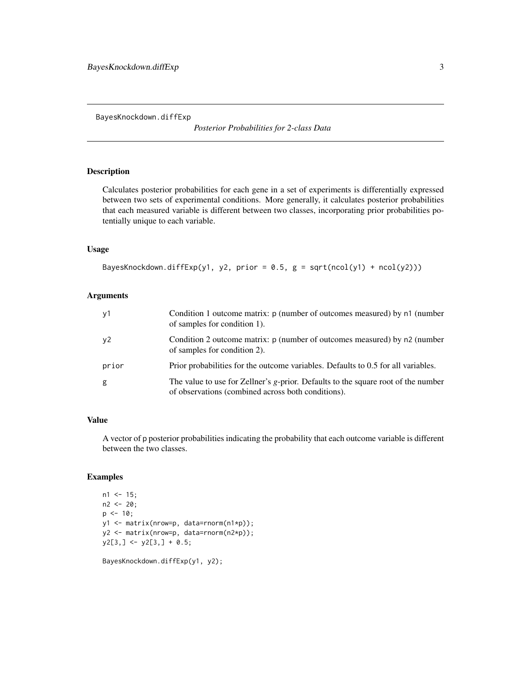<span id="page-2-0"></span>BayesKnockdown.diffExp

*Posterior Probabilities for 2-class Data*

# Description

Calculates posterior probabilities for each gene in a set of experiments is differentially expressed between two sets of experimental conditions. More generally, it calculates posterior probabilities that each measured variable is different between two classes, incorporating prior probabilities potentially unique to each variable.

#### Usage

```
BayesKnockdown.diffExp(y1, y2, prior = 0.5, g = sqrt(ncol(y1) + ncol(y2)))
```
# Arguments

| y1    | Condition 1 outcome matrix: p (number of outcomes measured) by n1 (number<br>of samples for condition 1).                               |
|-------|-----------------------------------------------------------------------------------------------------------------------------------------|
| y2    | Condition 2 outcome matrix: p (number of outcomes measured) by n2 (number<br>of samples for condition 2).                               |
| prior | Prior probabilities for the outcome variables. Defaults to 0.5 for all variables.                                                       |
| g     | The value to use for Zellner's g-prior. Defaults to the square root of the number<br>of observations (combined across both conditions). |

# Value

A vector of p posterior probabilities indicating the probability that each outcome variable is different between the two classes.

# Examples

```
n1 < -15;
n2 < -20;p \le -10;
y1 <- matrix(nrow=p, data=rnorm(n1*p));
y2 <- matrix(nrow=p, data=rnorm(n2*p));
y2[3,] \leftarrow y2[3,] + 0.5;
```
BayesKnockdown.diffExp(y1, y2);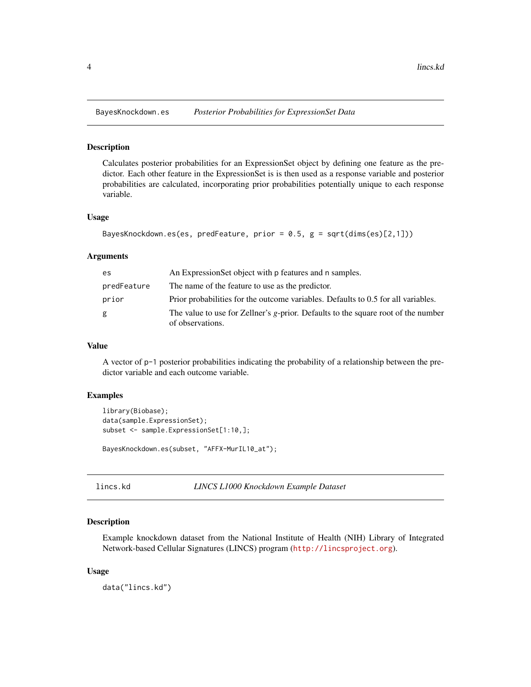<span id="page-3-0"></span>

#### Description

Calculates posterior probabilities for an ExpressionSet object by defining one feature as the predictor. Each other feature in the ExpressionSet is is then used as a response variable and posterior probabilities are calculated, incorporating prior probabilities potentially unique to each response variable.

#### Usage

```
BayesKnockdown.es(es, predFeature, prior = 0.5, g = sqrt(dims(es)[2,1]))
```
#### **Arguments**

| es          | An Expression Set object with p features and n samples.                                               |
|-------------|-------------------------------------------------------------------------------------------------------|
| predFeature | The name of the feature to use as the predictor.                                                      |
| prior       | Prior probabilities for the outcome variables. Defaults to 0.5 for all variables.                     |
| g           | The value to use for Zellner's g-prior. Defaults to the square root of the number<br>of observations. |

#### Value

A vector of p-1 posterior probabilities indicating the probability of a relationship between the predictor variable and each outcome variable.

#### Examples

```
library(Biobase);
data(sample.ExpressionSet);
subset <- sample.ExpressionSet[1:10,];
BayesKnockdown.es(subset, "AFFX-MurIL10_at");
```
lincs.kd *LINCS L1000 Knockdown Example Dataset*

#### Description

Example knockdown dataset from the National Institute of Health (NIH) Library of Integrated Network-based Cellular Signatures (LINCS) program (<http://lincsproject.org>).

#### Usage

data("lincs.kd")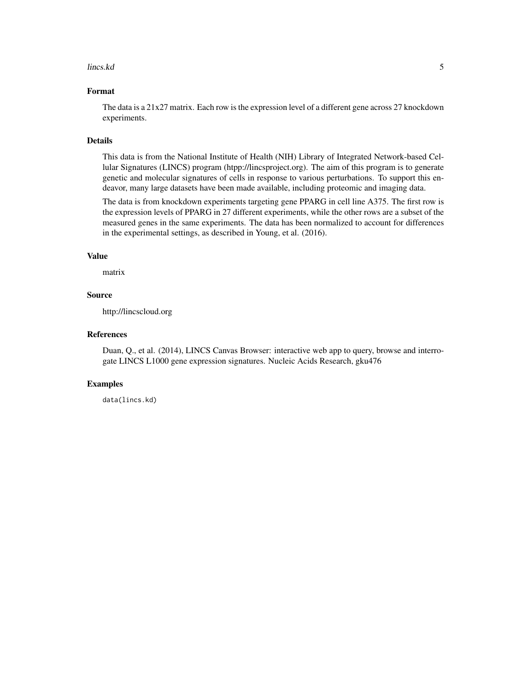#### lincs.kd 5

# Format

The data is a 21x27 matrix. Each row is the expression level of a different gene across 27 knockdown experiments.

#### Details

This data is from the National Institute of Health (NIH) Library of Integrated Network-based Cellular Signatures (LINCS) program (htpp://lincsproject.org). The aim of this program is to generate genetic and molecular signatures of cells in response to various perturbations. To support this endeavor, many large datasets have been made available, including proteomic and imaging data.

The data is from knockdown experiments targeting gene PPARG in cell line A375. The first row is the expression levels of PPARG in 27 different experiments, while the other rows are a subset of the measured genes in the same experiments. The data has been normalized to account for differences in the experimental settings, as described in Young, et al. (2016).

#### Value

matrix

#### Source

http://lincscloud.org

## References

Duan, Q., et al. (2014), LINCS Canvas Browser: interactive web app to query, browse and interrogate LINCS L1000 gene expression signatures. Nucleic Acids Research, gku476

#### Examples

data(lincs.kd)